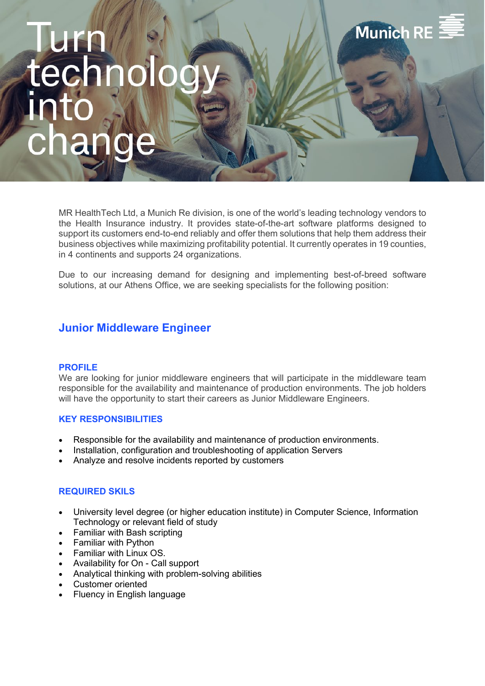# **Munich RE**

MR HealthTech Ltd, a Munich Re division, is one of the world's leading technology vendors to the Health Insurance industry. It provides state-of-the-art software platforms designed to support its customers end-to-end reliably and offer them solutions that help them address their business objectives while maximizing profitability potential. It currently operates in 19 counties, in 4 continents and supports 24 organizations.

Due to our increasing demand for designing and implementing best-of-breed software solutions, at our Athens Office, we are seeking specialists for the following position:

### **Junior Middleware Engineer**

#### **PROFILE**

We are looking for junior middleware engineers that will participate in the middleware team responsible for the availability and maintenance of production environments. The job holders will have the opportunity to start their careers as Junior Middleware Engineers.

#### **KEY RESPONSIBILITIES**

- Responsible for the availability and maintenance of production environments.
- Installation, configuration and troubleshooting of application Servers
- Analyze and resolve incidents reported by customers

#### **REQUIRED SKILS**

- University level degree (or higher education institute) in Computer Science, Information Technology or relevant field of study
- Familiar with Bash scripting
- Familiar with Python
- Familiar with Linux OS.
- Availability for On Call support
- Analytical thinking with problem-solving abilities
- Customer oriented
- Fluency in English language